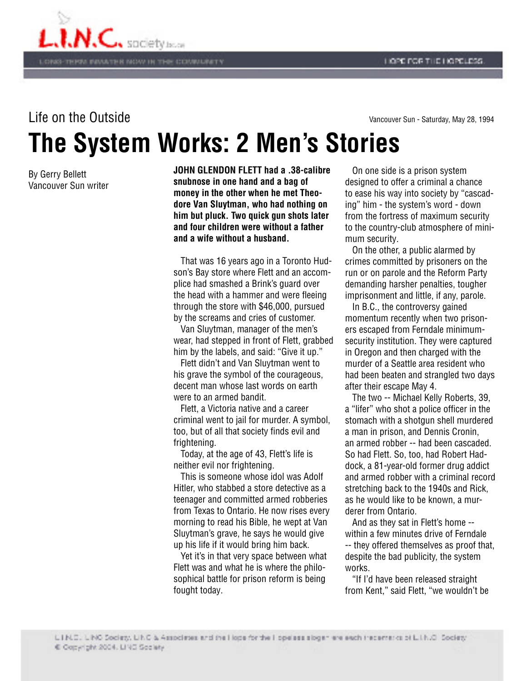

## **The System Works: 2 Men's Stories** Life on the Outside Vancouver Sun - Saturday, May 28, 1994

By Gerry Bellett Vancouver Sun writer **JOHN GLENDON FLETT had a .38-calibre snubnose in one hand and a bag of money in the other when he met Theodore Van Sluytman, who had nothing on him but pluck. Two quick gun shots later and four children were without a father and a wife without a husband.**

 That was 16 years ago in a Toronto Hudson's Bay store where Flett and an accomplice had smashed a Brink's guard over the head with a hammer and were fleeing through the store with \$46,000, pursued by the screams and cries of customer.

 Van Sluytman, manager of the men's wear, had stepped in front of Flett, grabbed him by the labels, and said: "Give it up."

 Flett didn't and Van Sluytman went to his grave the symbol of the courageous, decent man whose last words on earth were to an armed bandit.

 Flett, a Victoria native and a career criminal went to jail for murder. A symbol, too, but of all that society finds evil and frightening.

 Today, at the age of 43, Flett's life is neither evil nor frightening.

 This is someone whose idol was Adolf Hitler, who stabbed a store detective as a teenager and committed armed robberies from Texas to Ontario. He now rises every morning to read his Bible, he wept at Van Sluytman's grave, he says he would give up his life if it would bring him back.

 Yet it's in that very space between what Flett was and what he is where the philosophical battle for prison reform is being fought today.

 On one side is a prison system designed to offer a criminal a chance to ease his way into society by "cascading" him - the system's word - down from the fortress of maximum security to the country-club atmosphere of minimum security.

 On the other, a public alarmed by crimes committed by prisoners on the run or on parole and the Reform Party demanding harsher penalties, tougher imprisonment and little, if any, parole.

 In B.C., the controversy gained momentum recently when two prisoners escaped from Ferndale minimumsecurity institution. They were captured in Oregon and then charged with the murder of a Seattle area resident who had been beaten and strangled two days after their escape May 4.

 The two -- Michael Kelly Roberts, 39, a "lifer" who shot a police officer in the stomach with a shotgun shell murdered a man in prison, and Dennis Cronin, an armed robber -- had been cascaded. So had Flett. So, too, had Robert Haddock, a 81-year-old former drug addict and armed robber with a criminal record stretching back to the 1940s and Rick, as he would like to be known, a murderer from Ontario.

 And as they sat in Flett's home - within a few minutes drive of Ferndale -- they offered themselves as proof that, despite the bad publicity, the system works.

 "If I'd have been released straight from Kent," said Flett, "we wouldn't be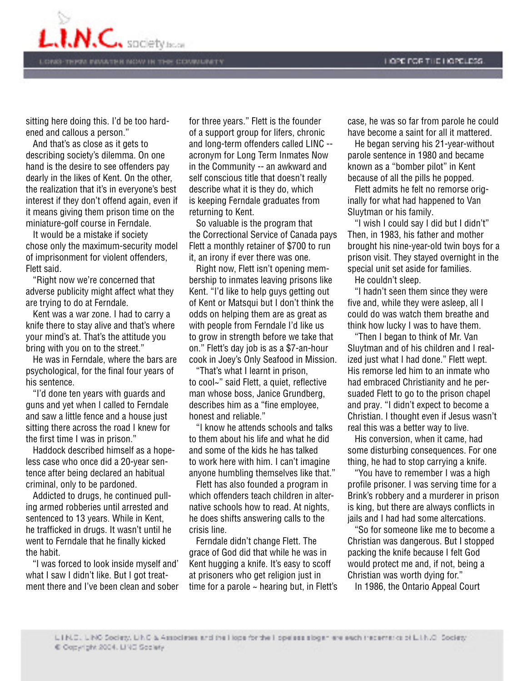

sitting here doing this. I'd be too hardened and callous a person."

 And that's as close as it gets to describing society's dilemma. On one hand is the desire to see offenders pay dearly in the likes of Kent. On the other, the realization that it's in everyone's best interest if they don't offend again, even if it means giving them prison time on the miniature-golf course in Ferndale.

 It would be a mistake if society chose only the maximum-security model of imprisonment for violent offenders, Flett said.

 "Right now we're concerned that adverse publicity might affect what they are trying to do at Ferndale.

 Kent was a war zone. I had to carry a knife there to stay alive and that's where your mind's at. That's the attitude you bring with you on to the street."

 He was in Ferndale, where the bars are psychological, for the final four years of his sentence.

 "I'd done ten years with guards and guns and yet when I called to Ferndale and saw a little fence and a house just sitting there across the road I knew for the first time I was in prison."

 Haddock described himself as a hopeless case who once did a 20-year sentence after being declared an habitual criminal, only to be pardoned.

 Addicted to drugs, he continued pulling armed robberies until arrested and sentenced to 13 years. While in Kent, he trafficked in drugs. It wasn't until he went to Ferndale that he finally kicked the habit.

 "I was forced to look inside myself and' what I saw I didn't like. But I got treatment there and I've been clean and sober

for three years." Flett is the founder of a support group for lifers, chronic and long-term offenders called LINC - acronym for Long Term Inmates Now in the Community -- an awkward and self conscious title that doesn't really describe what it is they do, which is keeping Ferndale graduates from returning to Kent.

 So valuable is the program that the Correctional Service of Canada pays Flett a monthly retainer of \$700 to run it, an irony if ever there was one.

 Right now, Flett isn't opening membership to inmates leaving prisons like Kent. "I'd like to help guys getting out of Kent or Matsqui but I don't think the odds on helping them are as great as with people from Ferndale I'd like us to grow in strength before we take that on." Flett's day job is as a \$7-an-hour cook in Joey's Only Seafood in Mission.

 "That's what I learnt in prison, to cool~" said Flett, a quiet, reflective man whose boss, Janice Grundberg, describes him as a "fine employee, honest and reliable."

 "I know he attends schools and talks to them about his life and what he did and some of the kids he has talked to work here with him. I can't imagine anyone humbling themselves like that."

 Flett has also founded a program in which offenders teach children in alternative schools how to read. At nights, he does shifts answering calls to the crisis line.

 Ferndale didn't change Flett. The grace of God did that while he was in Kent hugging a knife. It's easy to scoff at prisoners who get religion just in time for a parole  $\sim$  hearing but, in Flett's case, he was so far from parole he could have become a saint for all it mattered.

 He began serving his 21-year-without parole sentence in 1980 and became known as a "bomber pilot" in Kent because of all the pills he popped.

 Flett admits he felt no remorse originally for what had happened to Van Sluytman or his family.

 "I wish I could say I did but I didn't" Then, in 1983, his father and mother brought his nine-year-old twin boys for a prison visit. They stayed overnight in the special unit set aside for families.

He couldn't sleep.

 "I hadn't seen them since they were five and, while they were asleep, all I could do was watch them breathe and think how lucky I was to have them.

 "Then I began to think of Mr. Van Sluytman and of his children and I realized just what I had done." Flett wept. His remorse led him to an inmate who had embraced Christianity and he persuaded Flett to go to the prison chapel and pray. "I didn't expect to become a Christian. I thought even if Jesus wasn't real this was a better way to live.

 His conversion, when it came, had some disturbing consequences. For one thing, he had to stop carrying a knife.

 "You have to remember I was a high profile prisoner. I was serving time for a Brink's robbery and a murderer in prison is king, but there are always conflicts in jails and I had had some altercations.

 "So for someone like me to become a Christian was dangerous. But I stopped packing the knife because I felt God would protect me and, if not, being a Christian was worth dying for."

In 1986, the Ontario Appeal Court